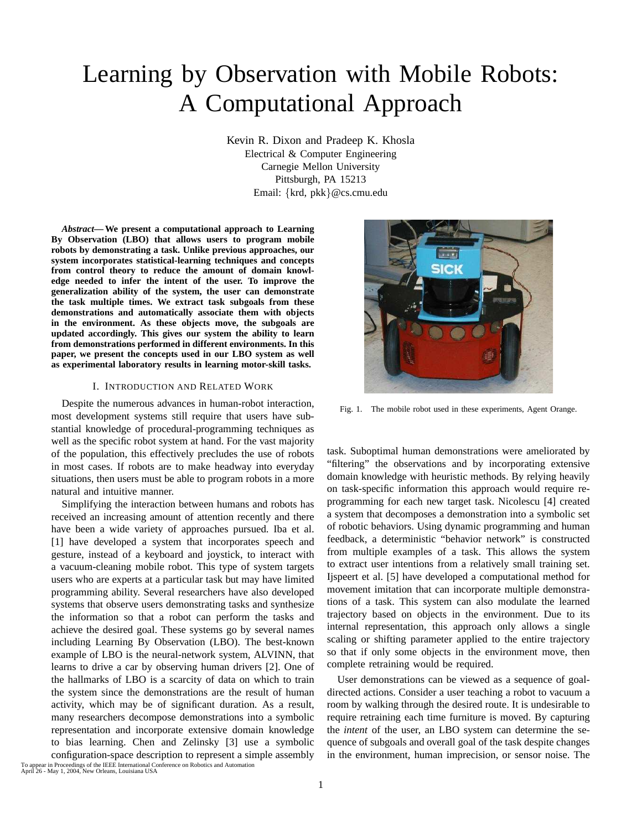# Learning by Observation with Mobile Robots: A Computational Approach

Kevin R. Dixon and Pradeep K. Khosla Electrical & Computer Engineering Carnegie Mellon University Pittsburgh, PA 15213 Email: {krd, pkk}@cs.cmu.edu

*Abstract***—We present a computational approach to Learning By Observation (LBO) that allows users to program mobile robots by demonstrating a task. Unlike previous approaches, our system incorporates statistical-learning techniques and concepts from control theory to reduce the amount of domain knowledge needed to infer the intent of the user. To improve the generalization ability of the system, the user can demonstrate the task multiple times. We extract task subgoals from these demonstrations and automatically associate them with objects in the environment. As these objects move, the subgoals are updated accordingly. This gives our system the ability to learn from demonstrations performed in different environments. In this paper, we present the concepts used in our LBO system as well as experimental laboratory results in learning motor-skill tasks.**

# I. INTRODUCTION AND RELATED WORK

Despite the numerous advances in human-robot interaction, most development systems still require that users have substantial knowledge of procedural-programming techniques as well as the specific robot system at hand. For the vast majority of the population, this effectively precludes the use of robots in most cases. If robots are to make headway into everyday situations, then users must be able to program robots in a more natural and intuitive manner.

Simplifying the interaction between humans and robots has received an increasing amount of attention recently and there have been a wide variety of approaches pursued. Iba et al. [1] have developed a system that incorporates speech and gesture, instead of a keyboard and joystick, to interact with a vacuum-cleaning mobile robot. This type of system targets users who are experts at a particular task but may have limited programming ability. Several researchers have also developed systems that observe users demonstrating tasks and synthesize the information so that a robot can perform the tasks and achieve the desired goal. These systems go by several names including Learning By Observation (LBO). The best-known example of LBO is the neural-network system, ALVINN, that learns to drive a car by observing human drivers [2]. One of the hallmarks of LBO is a scarcity of data on which to train the system since the demonstrations are the result of human activity, which may be of significant duration. As a result, many researchers decompose demonstrations into a symbolic representation and incorporate extensive domain knowledge to bias learning. Chen and Zelinsky [3] use a symbolic configuration-space description to represent a simple assembly



Fig. 1. The mobile robot used in these experiments, Agent Orange.

task. Suboptimal human demonstrations were ameliorated by "filtering" the observations and by incorporating extensive domain knowledge with heuristic methods. By relying heavily on task-specific information this approach would require reprogramming for each new target task. Nicolescu [4] created a system that decomposes a demonstration into a symbolic set of robotic behaviors. Using dynamic programming and human feedback, a deterministic "behavior network" is constructed from multiple examples of a task. This allows the system to extract user intentions from a relatively small training set. Ijspeert et al. [5] have developed a computational method for movement imitation that can incorporate multiple demonstrations of a task. This system can also modulate the learned trajectory based on objects in the environment. Due to its internal representation, this approach only allows a single scaling or shifting parameter applied to the entire trajectory so that if only some objects in the environment move, then complete retraining would be required.

User demonstrations can be viewed as a sequence of goaldirected actions. Consider a user teaching a robot to vacuum a room by walking through the desired route. It is undesirable to require retraining each time furniture is moved. By capturing the *intent* of the user, an LBO system can determine the sequence of subgoals and overall goal of the task despite changes in the environment, human imprecision, or sensor noise. The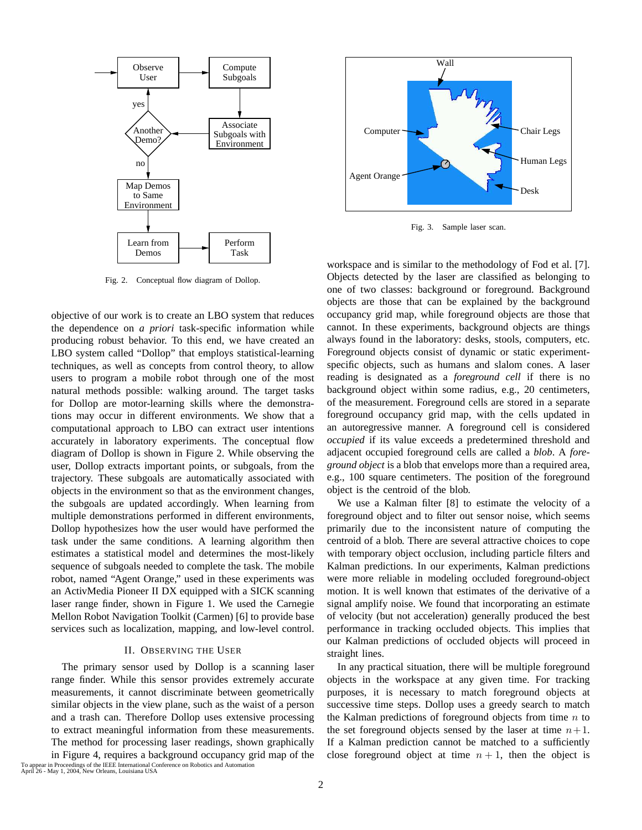

Fig. 2. Conceptual flow diagram of Dollop.

objective of our work is to create an LBO system that reduces the dependence on *a priori* task-specific information while producing robust behavior. To this end, we have created an LBO system called "Dollop" that employs statistical-learning techniques, as well as concepts from control theory, to allow users to program a mobile robot through one of the most natural methods possible: walking around. The target tasks for Dollop are motor-learning skills where the demonstrations may occur in different environments. We show that a computational approach to LBO can extract user intentions accurately in laboratory experiments. The conceptual flow diagram of Dollop is shown in Figure 2. While observing the user, Dollop extracts important points, or subgoals, from the trajectory. These subgoals are automatically associated with objects in the environment so that as the environment changes, the subgoals are updated accordingly. When learning from multiple demonstrations performed in different environments, Dollop hypothesizes how the user would have performed the task under the same conditions. A learning algorithm then estimates a statistical model and determines the most-likely sequence of subgoals needed to complete the task. The mobile robot, named "Agent Orange," used in these experiments was an ActivMedia Pioneer II DX equipped with a SICK scanning laser range finder, shown in Figure 1. We used the Carnegie Mellon Robot Navigation Toolkit (Carmen) [6] to provide base services such as localization, mapping, and low-level control.

# II. OBSERVING THE USER

The primary sensor used by Dollop is a scanning laser range finder. While this sensor provides extremely accurate measurements, it cannot discriminate between geometrically similar objects in the view plane, such as the waist of a person and a trash can. Therefore Dollop uses extensive processing to extract meaningful information from these measurements. The method for processing laser readings, shown graphically

in Figure 4, requires a background occupancy grid map of the To appear in Proceedings of the IEEE International Conference on Robotics and Automation April 26 - May 1, 2004, New Orleans, Louisiana USA



Fig. 3. Sample laser scan.

workspace and is similar to the methodology of Fod et al. [7]. Objects detected by the laser are classified as belonging to one of two classes: background or foreground. Background objects are those that can be explained by the background occupancy grid map, while foreground objects are those that cannot. In these experiments, background objects are things always found in the laboratory: desks, stools, computers, etc. Foreground objects consist of dynamic or static experimentspecific objects, such as humans and slalom cones. A laser reading is designated as a *foreground cell* if there is no background object within some radius, e.g., 20 centimeters, of the measurement. Foreground cells are stored in a separate foreground occupancy grid map, with the cells updated in an autoregressive manner. A foreground cell is considered *occupied* if its value exceeds a predetermined threshold and adjacent occupied foreground cells are called a *blob*. A *foreground object* is a blob that envelops more than a required area, e.g., 100 square centimeters. The position of the foreground object is the centroid of the blob.

We use a Kalman filter [8] to estimate the velocity of a foreground object and to filter out sensor noise, which seems primarily due to the inconsistent nature of computing the centroid of a blob. There are several attractive choices to cope with temporary object occlusion, including particle filters and Kalman predictions. In our experiments, Kalman predictions were more reliable in modeling occluded foreground-object motion. It is well known that estimates of the derivative of a signal amplify noise. We found that incorporating an estimate of velocity (but not acceleration) generally produced the best performance in tracking occluded objects. This implies that our Kalman predictions of occluded objects will proceed in straight lines.

In any practical situation, there will be multiple foreground objects in the workspace at any given time. For tracking purposes, it is necessary to match foreground objects at successive time steps. Dollop uses a greedy search to match the Kalman predictions of foreground objects from time  $n$  to the set foreground objects sensed by the laser at time  $n+1$ . If a Kalman prediction cannot be matched to a sufficiently close foreground object at time  $n + 1$ , then the object is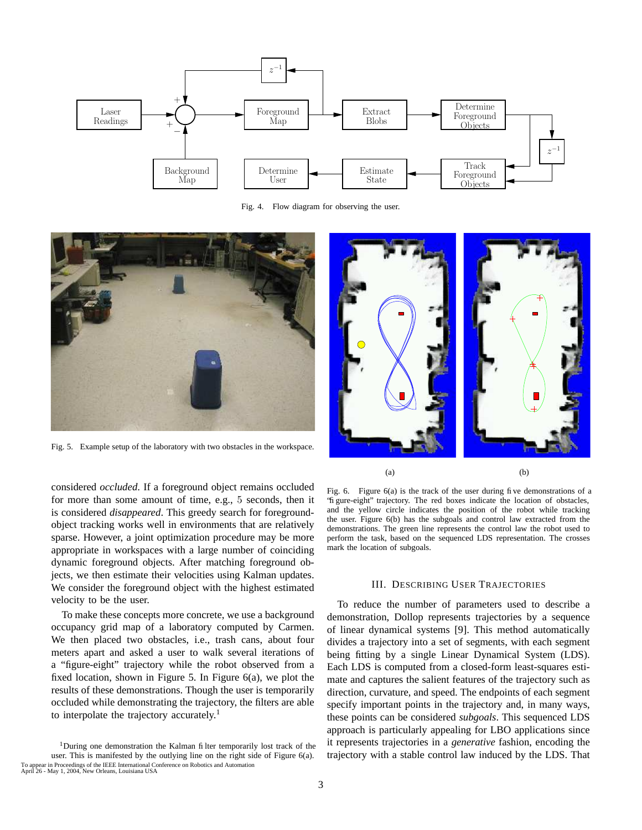

Fig. 4. Flow diagram for observing the user.



Fig. 5. Example setup of the laboratory with two obstacles in the workspace.

considered *occluded*. If a foreground object remains occluded for more than some amount of time, e.g., 5 seconds, then it is considered *disappeared*. This greedy search for foregroundobject tracking works well in environments that are relatively sparse. However, a joint optimization procedure may be more appropriate in workspaces with a large number of coinciding dynamic foreground objects. After matching foreground objects, we then estimate their velocities using Kalman updates. We consider the foreground object with the highest estimated velocity to be the user.

To make these concepts more concrete, we use a background occupancy grid map of a laboratory computed by Carmen. We then placed two obstacles, i.e., trash cans, about four meters apart and asked a user to walk several iterations of a "figure-eight" trajectory while the robot observed from a fixed location, shown in Figure 5. In Figure 6(a), we plot the results of these demonstrations. Though the user is temporarily occluded while demonstrating the trajectory, the filters are able to interpolate the trajectory accurately.<sup>1</sup>





 $(a)$  (b)

Fig. 6. Figure 6(a) is the track of the user during five demonstrations of a "figure-eight" trajectory. The red boxes indicate the location of obstacles, and the yellow circle indicates the position of the robot while tracking the user. Figure 6(b) has the subgoals and control law extracted from the demonstrations. The green line represents the control law the robot used to perform the task, based on the sequenced LDS representation. The crosses mark the location of subgoals.

## III. DESCRIBING USER TRAJECTORIES

To reduce the number of parameters used to describe a demonstration, Dollop represents trajectories by a sequence of linear dynamical systems [9]. This method automatically divides a trajectory into a set of segments, with each segment being fitting by a single Linear Dynamical System (LDS). Each LDS is computed from a closed-form least-squares estimate and captures the salient features of the trajectory such as direction, curvature, and speed. The endpoints of each segment specify important points in the trajectory and, in many ways, these points can be considered *subgoals*. This sequenced LDS approach is particularly appealing for LBO applications since it represents trajectories in a *generative* fashion, encoding the trajectory with a stable control law induced by the LDS. That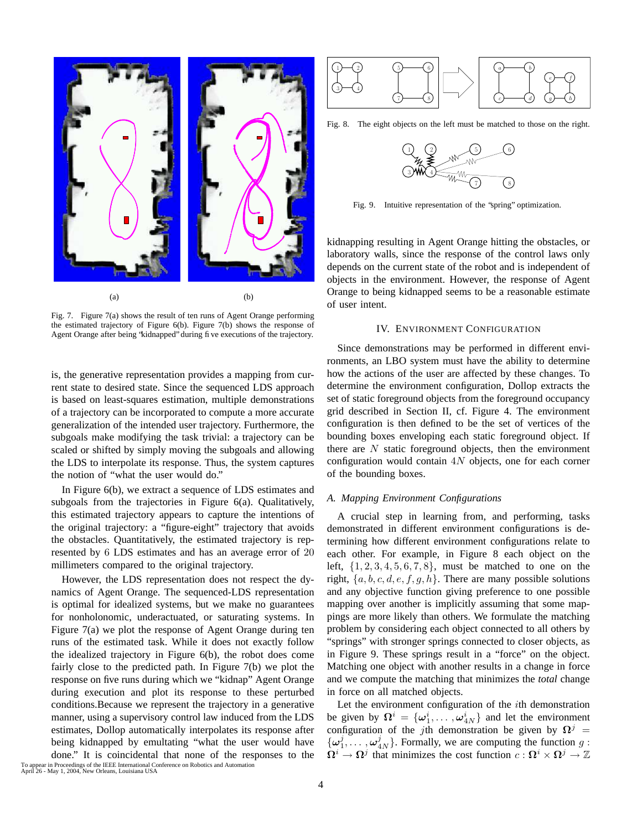

Fig. 7. Figure 7(a) shows the result of ten runs of Agent Orange performing the estimated trajectory of Figure 6(b). Figure 7(b) shows the response of Agent Orange after being "kidnapped" during five executions of the trajectory.

is, the generative representation provides a mapping from current state to desired state. Since the sequenced LDS approach is based on least-squares estimation, multiple demonstrations of a trajectory can be incorporated to compute a more accurate generalization of the intended user trajectory. Furthermore, the subgoals make modifying the task trivial: a trajectory can be scaled or shifted by simply moving the subgoals and allowing the LDS to interpolate its response. Thus, the system captures the notion of "what the user would do."

In Figure 6(b), we extract a sequence of LDS estimates and subgoals from the trajectories in Figure 6(a). Qualitatively, this estimated trajectory appears to capture the intentions of the original trajectory: a "figure-eight" trajectory that avoids the obstacles. Quantitatively, the estimated trajectory is represented by 6 LDS estimates and has an average error of 20 millimeters compared to the original trajectory.

However, the LDS representation does not respect the dynamics of Agent Orange. The sequenced-LDS representation is optimal for idealized systems, but we make no guarantees for nonholonomic, underactuated, or saturating systems. In Figure 7(a) we plot the response of Agent Orange during ten runs of the estimated task. While it does not exactly follow the idealized trajectory in Figure 6(b), the robot does come fairly close to the predicted path. In Figure 7(b) we plot the response on five runs during which we "kidnap" Agent Orange during execution and plot its response to these perturbed conditions.Because we represent the trajectory in a generative manner, using a supervisory control law induced from the LDS estimates, Dollop automatically interpolates its response after being kidnapped by emultating "what the user would have done." It is coincidental that none of the responses to the



Fig. 8. The eight objects on the left must be matched to those on the right.



Fig. 9. Intuitive representation of the "spring" optimization.

kidnapping resulting in Agent Orange hitting the obstacles, or laboratory walls, since the response of the control laws only depends on the current state of the robot and is independent of objects in the environment. However, the response of Agent Orange to being kidnapped seems to be a reasonable estimate of user intent.

# IV. ENVIRONMENT CONFIGURATION

Since demonstrations may be performed in different environments, an LBO system must have the ability to determine how the actions of the user are affected by these changes. To determine the environment configuration, Dollop extracts the set of static foreground objects from the foreground occupancy grid described in Section II, cf. Figure 4. The environment configuration is then defined to be the set of vertices of the bounding boxes enveloping each static foreground object. If there are  $N$  static foreground objects, then the environment configuration would contain 4N objects, one for each corner of the bounding boxes.

## *A. Mapping Environment Configurations*

A crucial step in learning from, and performing, tasks demonstrated in different environment configurations is determining how different environment configurations relate to each other. For example, in Figure 8 each object on the left,  $\{1, 2, 3, 4, 5, 6, 7, 8\}$ , must be matched to one on the right,  $\{a, b, c, d, e, f, g, h\}$ . There are many possible solutions and any objective function giving preference to one possible mapping over another is implicitly assuming that some mappings are more likely than others. We formulate the matching problem by considering each object connected to all others by "springs" with stronger springs connected to closer objects, as in Figure 9. These springs result in a "force" on the object. Matching one object with another results in a change in force and we compute the matching that minimizes the *total* change in force on all matched objects.

Let the environment configuration of the ith demonstration be given by  $\Omega^i = {\omega_1^i, \dots, \omega_{4N}^i}$  and let the environment configuration of the jth demonstration be given by  $\Omega^{j}$  =  $\{\omega_1^j, \ldots, \omega_{4N}^j\}$ . Formally, we are computing the function  $g$ :  $\Omega^i \to \Omega^j$  that minimizes the cost function  $c : \Omega^i \times \Omega^j \to \mathbb{Z}$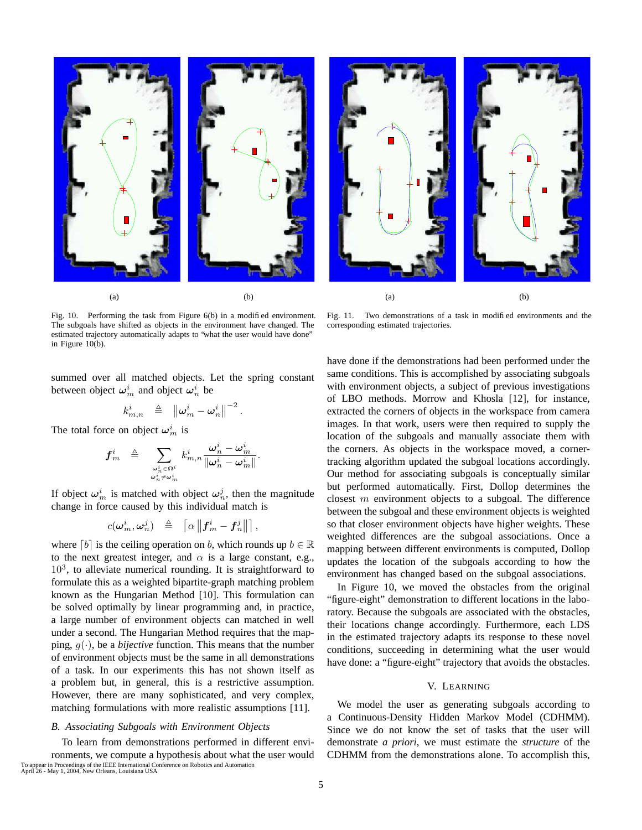

Fig. 10. Performing the task from Figure 6(b) in a modified environment. The subgoals have shifted as objects in the environment have changed. The estimated trajectory automatically adapts to "what the user would have done" in Figure 10(b).

summed over all matched objects. Let the spring constant between object  $\boldsymbol{\omega}_m^i$  and object  $\boldsymbol{\omega}_n^i$  be

$$
k_{m,n}^i\;\;\triangleq\;\;\left\|\boldsymbol{\omega}_m^i-\boldsymbol{\omega}_n^i\right\|^{-2}.
$$

The total force on object  $\omega_m^i$  is

$$
\boldsymbol{f}^i_m \hspace{.2cm} \triangleq \hspace{.2cm} \sum_{\substack{\boldsymbol{\omega}^i_n \in \Omega^i \\ \boldsymbol{\omega}^i_n \neq \boldsymbol{\omega}^i_m}} k^i_{m,n} \frac{\boldsymbol{\omega}^i_n - \boldsymbol{\omega}^i_m}{\|\boldsymbol{\omega}^i_n - \boldsymbol{\omega}^i_m\|}.
$$

If object  $\boldsymbol{\omega}_m^i$  is matched with object  $\boldsymbol{\omega}_n^j$ , then the magnitude change in force caused by this individual match is

$$
c(\pmb{\omega}_m^i,\pmb{\omega}_n^j)\;\;\triangleq\;\;\left\lceil\alpha\left\|\pmb{f}_m^i-\pmb{f}_n^j\right\|\right\rceil,
$$

where  $\lceil b \rceil$  is the ceiling operation on b, which rounds up  $b \in \mathbb{R}$ to the next greatest integer, and  $\alpha$  is a large constant, e.g.,  $10<sup>3</sup>$ , to alleviate numerical rounding. It is straightforward to formulate this as a weighted bipartite-graph matching problem known as the Hungarian Method [10]. This formulation can be solved optimally by linear programming and, in practice, a large number of environment objects can matched in well under a second. The Hungarian Method requires that the mapping,  $q(\cdot)$ , be a *bijective* function. This means that the number of environment objects must be the same in all demonstrations of a task. In our experiments this has not shown itself as a problem but, in general, this is a restrictive assumption. However, there are many sophisticated, and very complex, matching formulations with more realistic assumptions [11].

## *B. Associating Subgoals with Environment Objects*

To learn from demonstrations performed in different environments, we compute a hypothesis about what the user would To appear in Proceedings of the IEEE International Conference on Robotics and Automation April 26 - May 1, 2004, New Orleans, Louisiana USA

Fig. 11. Two demonstrations of a task in modified environments and the corresponding estimated trajectories.

have done if the demonstrations had been performed under the same conditions. This is accomplished by associating subgoals with environment objects, a subject of previous investigations of LBO methods. Morrow and Khosla [12], for instance, extracted the corners of objects in the workspace from camera images. In that work, users were then required to supply the location of the subgoals and manually associate them with the corners. As objects in the workspace moved, a cornertracking algorithm updated the subgoal locations accordingly. Our method for associating subgoals is conceptually similar but performed automatically. First, Dollop determines the closest  $m$  environment objects to a subgoal. The difference between the subgoal and these environment objects is weighted so that closer environment objects have higher weights. These weighted differences are the subgoal associations. Once a mapping between different environments is computed, Dollop updates the location of the subgoals according to how the environment has changed based on the subgoal associations.

In Figure 10, we moved the obstacles from the original "figure-eight" demonstration to different locations in the laboratory. Because the subgoals are associated with the obstacles, their locations change accordingly. Furthermore, each LDS in the estimated trajectory adapts its response to these novel conditions, succeeding in determining what the user would have done: a "figure-eight" trajectory that avoids the obstacles.

## V. LEARNING

We model the user as generating subgoals according to a Continuous-Density Hidden Markov Model (CDHMM). Since we do not know the set of tasks that the user will demonstrate *a priori*, we must estimate the *structure* of the CDHMM from the demonstrations alone. To accomplish this,